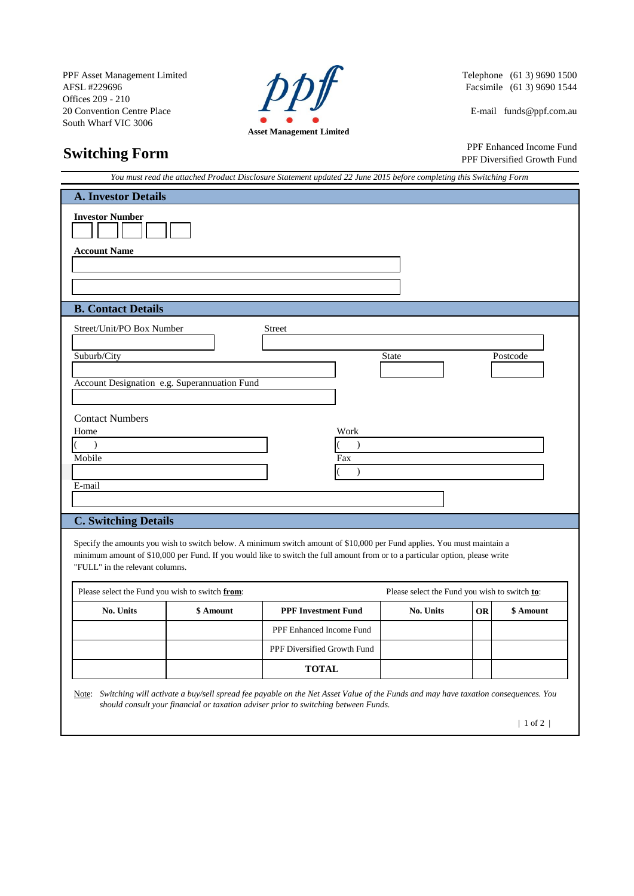PPF Asset Management Limited<br>AFSL #229696 Telephone (61 3) 9690 1500<br>Offices 209 - 210<br>20 Ger Offices 209 - 210 20 Convention Centre Place E-mail funds @ppf.com.au South Wharf VIC 3006



Facsimile (61 3) 9690 1544

## **Switching Form**

 PPF Enhanced Income Fund PPF Diversified Growth Fund

|                                                                                                                                                                                                |           | You must read the attached Product Disclosure Statement updated 22 June 2015 before completing this Switching Form                                                         |                                               |    |           |
|------------------------------------------------------------------------------------------------------------------------------------------------------------------------------------------------|-----------|----------------------------------------------------------------------------------------------------------------------------------------------------------------------------|-----------------------------------------------|----|-----------|
| <b>A. Investor Details</b>                                                                                                                                                                     |           |                                                                                                                                                                            |                                               |    |           |
| <b>Investor Number</b><br><b>Account Name</b>                                                                                                                                                  |           |                                                                                                                                                                            |                                               |    |           |
| <b>B.</b> Contact Details                                                                                                                                                                      |           |                                                                                                                                                                            |                                               |    |           |
| Street/Unit/PO Box Number<br>Suburb/City<br>Account Designation e.g. Superannuation Fund<br><b>Contact Numbers</b><br>Home<br>$\mathcal{L}$<br>Mobile<br>E-mail<br><b>C. Switching Details</b> |           | Street<br>Work<br>$\lambda$<br>Fax<br>$\lambda$<br>Specify the amounts you wish to switch below. A minimum switch amount of \$10,000 per Fund applies. You must maintain a | <b>State</b>                                  |    | Postcode  |
| "FULL" in the relevant columns.<br>Please select the Fund you wish to switch from:                                                                                                             |           | minimum amount of \$10,000 per Fund. If you would like to switch the full amount from or to a particular option, please write                                              | Please select the Fund you wish to switch to: |    |           |
|                                                                                                                                                                                                |           |                                                                                                                                                                            |                                               |    |           |
| No. Units                                                                                                                                                                                      | \$ Amount | <b>PPF Investment Fund</b>                                                                                                                                                 | No. Units                                     | OR | \$ Amount |
|                                                                                                                                                                                                |           | PPF Enhanced Income Fund                                                                                                                                                   |                                               |    |           |
|                                                                                                                                                                                                |           | PPF Diversified Growth Fund<br><b>TOTAL</b>                                                                                                                                |                                               |    |           |
|                                                                                                                                                                                                |           |                                                                                                                                                                            |                                               |    |           |

Note: *Switching will activate a buy/sell spread fee payable on the Net Asset Value of the Funds and may have taxation consequences. You should consult your financial or taxation adviser prior to switching between Funds.*